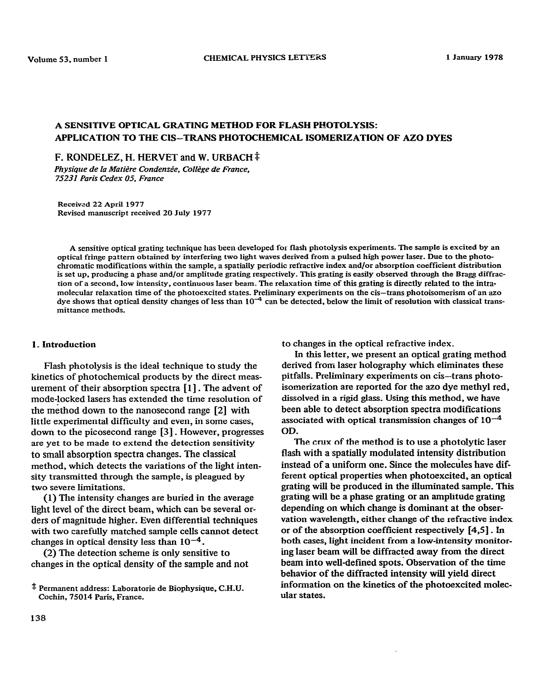# **A SENSITIVE OPTICAL GRATING METHOD FOR FLASH PHOTOLYSIS: APPLICATION TO THE CIS-TRANS PHOTOCHEMICAL ISOMERIZATION OF AZ0 DYES**

F. RONDELEZ, H. HERVET and W. URBACH<sup>‡</sup>

Physique de la Matière Condensée, Collège de France, *75231 Paris Cedex 05. France* 

**Received 22 April 1977 Revised manuscript received 20 July 1977** 

**A sensitive optical grating technique has been developed for flash photolysis experiments. The sample is excited by an optical fringe pattern obtained by interfering two light waves derived from a pulsed high power laser. Due to the photochromatic modifications within the sample, a spatially periodic refractive index and/or absorption coefficient distribution**  is set up, producing a phase and/or amplitude grating respectively. This grating is easily observed through the Bragg diffrac**rion of a second, low intensi:y, continuous laser beam- The relaxation time of this grating is directly related to the intramolecular relaxation time of the photoexcited states. Preliminary experiments on the cis-trans photoisomerism of an azo**  dye shows that optical density changes of less than 10<sup>-4</sup> can be detected, below the limit of resolution with classical trans**mittance methods.** 

# **I\_ Introduction**

**Flash photolysis is the ideal technique to study the kinetics of photochemical products by the direct measurement of their absorption spectra [l] . The advent of mode-locked lasers has extended the time resolution of rhe m&hod down to the nanosecond range [2] with little experimental difficulty and even, in some cases, down to the picosecond range [3]** \_ **However, progresses are yet to be mzde to extend the detection sensitivity to small absorption spectra changes. The classical method, which detects the variations of the light intensity transmitted through the sample, is pleagued by two severe limitations.** 

**(1) The intensiiy changes are buried in the average light level of the direct beam, which can be several orders of magnitude higher. Even differential techniques with two carefully matched sample cells cannot detect**  changes in optical density less than  $10^{-4}$ .

**(2) The detection scheme is only sensitive to changes in the optical density of the sample and not**  **to changes in the optical refractive index.** 

**In this letter, we present an optical grating method derived from laser holography which eliminates these pitfalls. Preliminary experiments on cis-trans photoisomerization are reported for the azo dye methyl red, dissolved in a rigid glass. Using this method, we have been able to detect absorption spectra modifications**  associated with optical transmission changes of  $10^{-4}$ **OD.** 

**The crux of the method is to use a photolytic laser flash with a spatially modulated intensity distribution**  instead of a uniform one. Since the molecules have dif**ferent optical properties when photoexcited, an optical grating will be produced in the illuminated sample. This grating will be a phase grating or an amplitude grating depending on which change is dominant at the observation wavelength, either change of the refractive index or of the absorption coefficient respectively [4,5]** \_ In **both cases, light incident from a low-intensity monitoring laser beam will be diffracted away from the direct beam into well-defined spots; Observation of the time behavior of the diffracted intensity will yield direct information on the kinetics of the photoexcited molecular states.** 

**<sup>\$</sup> Permanent address: Laboratorie de Biophysique, C.H.U. Cochin, 75014 Paris, France.**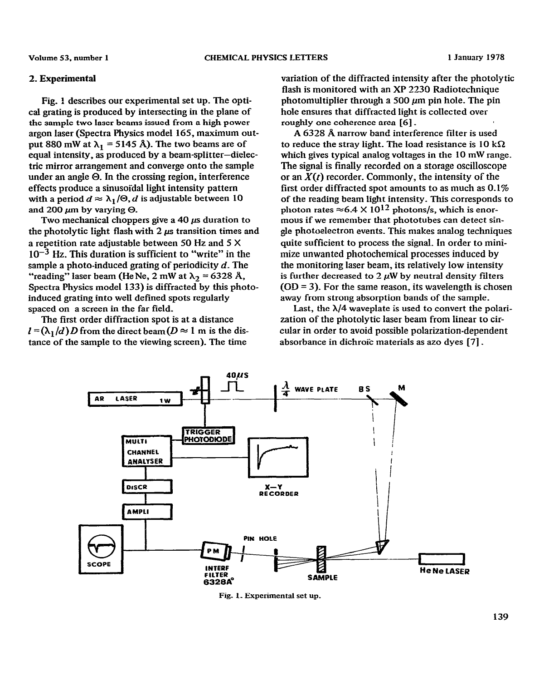#### **2. Experimental**

**Fig. ! describes our experimental set up. The optical grating is produced by intersecting in the plane of the sample two laser beams issued from a high power argon laser (Spectra Physics model 165, maximum out**put 880 mW at  $\lambda_1$  = 5145 Å). The two beams are of **equal intensity, as produced by a beam-splitter-dielectric mirror arrangement and converge onto rhe sample under an angie 0. In the crossing region, interference effects produce a sinusoidal light intensity pattern**  with a period  $d \approx \lambda_1/\Theta$ , *d* is adjustable between 10 and  $200 \mu m$  by varying  $\Theta$ .

Two mechanical choppers give a  $40 \mu s$  duration to the photolytic light flash with  $2 \mu s$  transition times and **a repetition rate adjustable between 50 Hz and 5 X**   $10^{-3}$  Hz. This duration is sufficient to "write" in the sample a photo-induced grating of periodicity *d*. The "reading" laser beam (He Ne, 2 mW at  $\lambda_2 = 6328$  Å, **Spectra Physics model 133) is diffracted by this photoinduced grating into well defined spots regularly spaced on a screen in the far field.** 

**The first order diffraction spot is at a distance**   $l = (\lambda_1/d)D$  from the direct beam ( $D \approx 1$  m is the distance of the sample to the viewing screen). The time

**variation of the diffracted intensity after the photolytic flash is monitored with an XP 2230 Radiotechnique photomultiplier through a 500 ym pin hole. The pin hole ensures that diffracted light is collected over roughly one coherence area [6]** \_

**A 6328 A narrow band interference filter is used**  to reduce the stray light. The load resistance is  $10 \text{ k}\Omega$ **which gives typical analog voltages in the 10 mW range. The signal is finally recorded on a storage oscilloscope**  or an  $X(t)$  recorder. Commonly, the intensity of the **first order diffracted spot amounts to as much as 0.1% of the reading beam light intensity. This corresponds to**  photon rates  $\approx 6.4 \times 10^{12}$  photons/s, which is enor**mous if we remember that phototubes can detect single photoelectron events\_ This makes analog techniques quite sufficient to process the signal. In order to minimize unwanted photochemical processes induced by the monitoring laser beam, its relatively low intensity**  is further decreased to  $2 \mu W$  by neutral density filters **(OD = 3). For the same reason, its wavelength is chosen away from strong absorption bands of the sample.** 

**Last, the X/4 waveplate is used to convert the polarization of the photolytic laser beam from linear to circular in order to avoid possible polarization-dependent**  absorbance in dichroic materials as azo dyes [7].



Fig. 1. Experimental set up.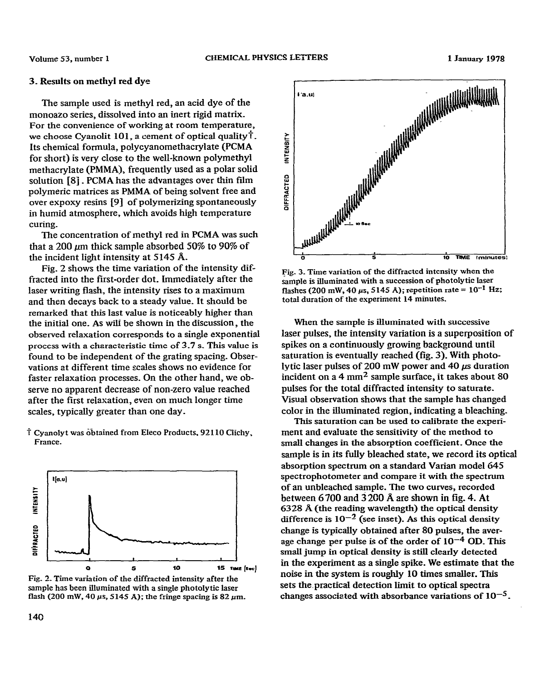### 1 January 1978

# **3. Results on methyl red dye**

**The sample used is methyl red, an acid dye of the monoazo series, dissolved into an inert rigid matrix. For the convenience of working at room temperature, we choose Cyanolit 101, a cement of optical quality?. Its chemical formula, polycyanomethacrylate (PCMA for short) is very close to the well-known polymethyl methacrylate (PMMA), frequently used as a polar solid solution [8]** \_ **PCMA has the advantages over thin film polymeric matrices as PMMA of being solvent free and over expoxy resins [9] of polymerizing spontaneously in humid atmosphere, which avoids high temperature curing.** 

**The concentration of methyl red in PCMA was such**  that a 200  $\mu$ m thick sample absorbed 50% to 90% of **the incident light intensity at 5145 A.** 

**Fig. 2 shows the time variation of the intensity diffracted into the first-order dot. immediately after the laser writing flash, the intensity rises to a maximum and then decays back to a steady value. It should be remarked that this last value is noticeably higher than the initial one. As wili be shown in the discussion, the observed relaxation correspor\_ds to a single exponential process with a characteristic time of 3.7 s. This value is found to be independent of the grating spacing. Observations at different time scales shows no evidence for**  faster relaxation processes. On the other hand, we ob**serve no apparent decrease of non-zero value reached after the first relaxation, even on much longer time scales, typically greater than one day.** 

 $\dagger$  Cyanolyt was obtained from Eleco Products, 92110 Clichy, **France.** 



**Fig. 2\_ Time variation of the diffracted intensity after the sample has been illuminated with a single photolytic laser**  flash (200 mW, 40  $\mu$ s, 5145 A); the fringe spacing is 82  $\mu$ m.



**Fig. 3. Time variation of the diffracted intensity when the sample is illuminated with a succession of photolytic laser**  flashes (200 mW, 40  $\mu$ s, 5145 A); repetition rate =  $10^{-1}$  Hz; **total duration of the experiment 14 minutes.** 

**When the sample is illuminated with successive laser pulses, the intensity variation is a superposition of spikes on a continuously growing background until saturation is eventually reached (fig. 3). With photolytic laser pulses of 200 mW power and 40**  $\mu$ **s duration incident on a 4 mm2 sample surface, it takes about 80 pulses for the total diffracted intensity to saturate. Visual observation shows that the sample has changed color in the illuminated region, indicating a bleaching.** 

**This saturation can be used to calibrate the experiment and evaluate the sensitivity of the method to small changes in the absorption coefficient. Once the sample is in its fully bleached state, we record its optical absorption spectrum on a standard Varian model 645 spectrophotometer and compare it with the spectrum of an unbleached sample. The two curves, recorded between 6 700 and 3 200 A are shown in fig. 4. At 6328 A (the reading wavelength) the optical density**  difference is  $10^{-2}$  (see inset). As this optical density **change is typically obtained after 80 pulses, the aver**age change per pulse is of the order of  $10^{-4}$  OD. This **small jump in optical density is still clearly detected in the experiment as a single spike. We estimate that the noise in the system is roughly 10 times smaller. This sets the.practicaI detection limit to optical spectra**  changes associated with absorbance variations of  $10^{-5}$ .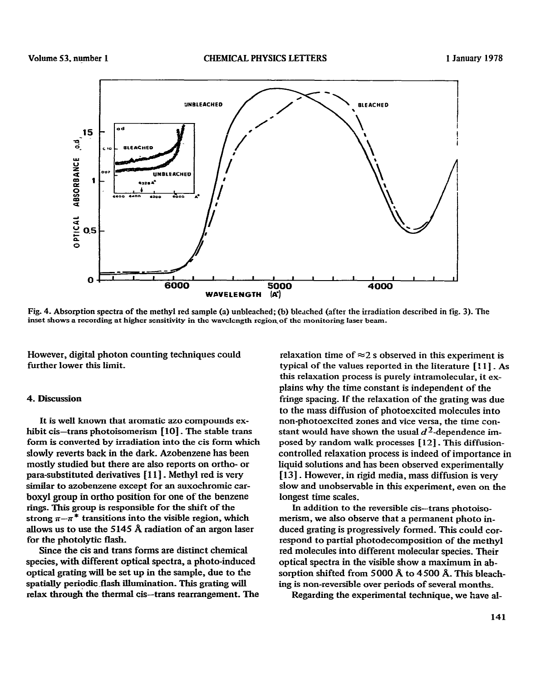

**Fig. 4. Absorption spectra of the methyl red sample (a) unbleached; (b) bleached (after the irradiation described in fig. 3). The inset shows a recording at higher sensitivity in the wavelength regioqof the monitoring laser beam.** 

**However,** digital photon counting techniques could further lower this limit.

## **4. Discussion**

It is well known that aromatic azo compounds exhibit cis—trans photoisomerism [10]. The stable trans form is converted by irradiation into the cis form which slowly reverts back in the dark. Azobenzene has been mostly studied but there are also reports on ortho- or para-substituted derivatives [ 1 l] \_ Methyl red is very similar to azobenzene **except** for an auxochromic carboxy1 group in ortho position for one of the benzene rings. This group is responsible for the shift of the strong  $\pi-\pi^*$  transitions into the visible region, which allows us to use the 5145 A radiation of an argon laser for the photolytic flash.

Since the cis and trans forms are distinct chemical species, with different optical spectra, a photo-induced optical grating will be set up in the sample, due to the spatially periodic flash illumination. This grating will relax through the thermal cis-trans rearrangement. The

relaxation time of  $\approx$  2 s observed in this experiment is typical of the values reported in the literature [: 1] \_ **As this** relaxation process is purely intramolecular, it explains why the time constant is independent of the fringe spacing. If the relaxation of the grating was due to the mass diffusion of photoexcited molecules into non-photoexcited zones and vice versa, the time constant would have shown the usual  $d^2$ -dependence im**posed by random walk processes [ 12]\_** This **diffusioncontrolled relaxation** process is indeed of importance in liquid solutions and has been observed experimental!y [13]. However, in rigid media, mass diffusion is very slow and unobservable in this experiment, even **on the**  longest time scales.

In addition to the reversible cis--trans photoisomerism, we also observe that a permanent photo induced grating is progressively formed. This could correspond to partial photodecomposition of the methyl red molecules into different molecular species. Their optical spectra in the visible show a maximum in absorption shifted from 5000 A to 4500 A. This bleaching is non-reversible over periods of several months\_

Regarding the experimental technique, we have al-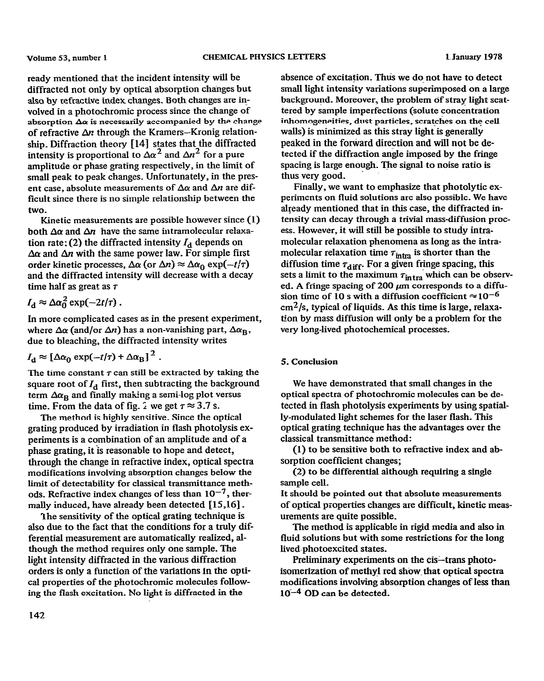**ready mentioned that the incident intensity will be**  diffracted not only by optical absorption changes but **also by refractive index changes\_ Bath changes are involved in a photochromic process since the change of absorption Aa is necessarily accompanied by the change**  of refractive  $\Delta n$  through the Kramers-Kronig relation**ship\_ Diffraction theory 1141 states that the diffracted intensity is proportional to**  $\Delta \alpha^2$  **and**  $\Delta n^2$  **for a pure amplitude or phase grating respectively, in the limit of**  small peak to peak changes. Unfortunately, in the present case, absolute measurements of  $\Delta\alpha$  and  $\Delta n$  are dif**ficult since there is no simple relationship between the two.** 

**Kinetic measurements are possible however since (1) both Aa and Arr have the same intramolecular relaxa**tion rate: (2) the diffracted intensity  $I_d$  depends on  $\Delta \alpha$  and  $\Delta n$  with the same power law. For simple first order kinetic processes,  $\Delta \alpha$  (or  $\Delta n$ )  $\approx \Delta \alpha_0 \exp(-t/\tau)$ **and the diffracted intensity will decrease with a decay time half as great as T** 

$$
I_{\rm d} \approx \Delta \alpha_0^2 \exp(-2t/\tau) \, .
$$

**In more complicated cases as in the present experiment,**  where  $\Delta\alpha$  (and/or  $\Delta n$ ) has a non-vanishing part,  $\Delta\alpha_{\rm B}$ , **due to bleaching, the diffracted intensity writes** 

$$
I_{\rm d} \approx \left[ \Delta \alpha_0 \exp(-t/\tau) + \Delta \alpha_{\rm B} \right]^2.
$$

The time constant  $\tau$  can still be extracted by taking the square root of  $I_d$  first, then subtracting the background term  $\Delta \alpha_R$  and finally making a semi-log plot versus time. From the data of fig. 2 we get  $\tau \approx 3.7$  s.

**The method is highly sensitive\_ Since the optical grating produced by irradiation in flash photolysis experiments is a combination of an amplitude and of a phase grating, it is reasonable to hope and detect, through the change in refractive index, optical spectra modifications involving absorption changes below the limit of detectability for classical transmittance meth**ods. Refractive index changes of less than  $10^{-7}$ , thermally induced, have already been detected [15,16].

**lhe sensitivity of the optical grating technique is also due to the fact that the conditions for a truly differential measurement are automatically realized, although the method requires only one sample. The light intensity diffracted in the various diffraction orders is only a function of the variations in the optical properties of the photochromic molecules following the flash excitation\_ No light is diffracted in the** 

**absence of excitation. Thus we do not have to detect small light intensity variations superimposed on a large**  background. Moreover, the problem of stray light scat**tered by sample imperfections (solute concentration Inhomogeneities, dust particles, scratches on the cell**  walls) is minimized as this stray light is generally **peaked in the forward direction and will not be detected if the diffraction angle imposed by the fringe spacing is large enough. Ihe signal to noise ratio is**  thus very good.

**Finally, we want to emphasize that photolytic experiments on fluid solutions are also possible. We have already mentioned that in this case, the diffracted intensity can decay through a trivial mass-diffusion process\_ However, it will still be possible to study intramolecular relaxation phenomena as long as the intra**molecular relaxation time  $\tau_{\text{intra}}$  is shorter than the diffusion time  $\tau_{\text{diff}}$ . For a given fringe spacing, this sets a limit to the maximum  $\tau_{intra}$  which can be observed. A fringe spacing of 200 μm corresponds to a diffusion time of 10 s with a diffusion coefficient  $\approx 10^{-6}$ **cmz/s, typical of liquids. As this time is large, relaxation by mass diffusion will only be a problem for the very long-lived photochemical processes\_** 

# **5. Conclusion**

We have demonstrated that small changes in the **optical spectra of photochromic molecules can be detected in flash photolysis experiments by using spatially-modulated light schemes for the laser flash. This optical grating technique has the advantages over the classical transmittance method:** 

**(1) to be sensitive both to refractive index and absorption coefficient changes;** 

**(2) to be differential although requiring a single sample cell.** 

**It should be pointed out that absolute measurements of optical properties changes are difficult, kinetic measurements are quite possible\_** 

**The method is applicable in rigid media and also in fluid solutions but with some restrictions for the long lived-photoexcited states.** 

Preliminary experiments on the cis-trans photo**isomerlzation of methyl red show-that optical spectra modifications involving absorption changes of less than la-4 OD can be detected-**